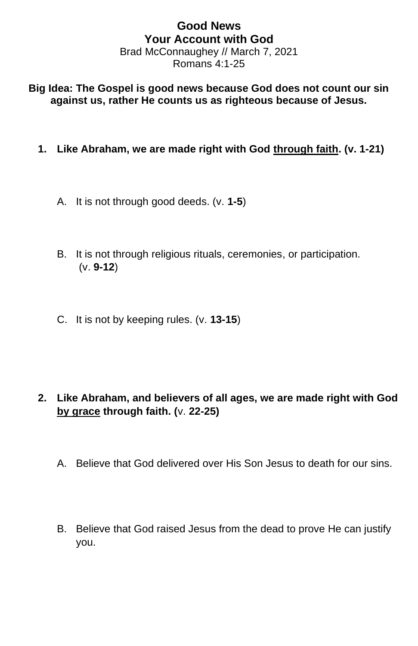## **Good News Your Account with God** Brad McConnaughey // March 7, 2021 Romans 4:1-25

**Big Idea: The Gospel is good news because God does not count our sin against us, rather He counts us as righteous because of Jesus.**

- **1. Like Abraham, we are made right with God through faith. (v. 1-21)**
	- A. It is not through good deeds. (v. **1-5**)
	- B. It is not through religious rituals, ceremonies, or participation. (v. **9-12**)
	- C. It is not by keeping rules. (v. **13-15**)

- **2. Like Abraham, and believers of all ages, we are made right with God by grace through faith. (**v. **22-25)**
	- A. Believe that God delivered over His Son Jesus to death for our sins.
	- B. Believe that God raised Jesus from the dead to prove He can justify you.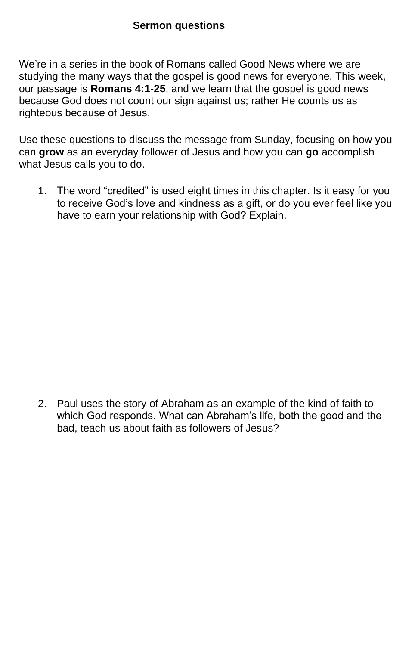## **Sermon questions**

We're in a series in the book of Romans called Good News where we are studying the many ways that the gospel is good news for everyone. This week, our passage is **Romans 4:1-25**, and we learn that the gospel is good news because God does not count our sign against us; rather He counts us as righteous because of Jesus.

Use these questions to discuss the message from Sunday, focusing on how you can **grow** as an everyday follower of Jesus and how you can **go** accomplish what Jesus calls you to do.

1. The word "credited" is used eight times in this chapter. Is it easy for you to receive God's love and kindness as a gift, or do you ever feel like you have to earn your relationship with God? Explain.

2. Paul uses the story of Abraham as an example of the kind of faith to which God responds. What can Abraham's life, both the good and the bad, teach us about faith as followers of Jesus?